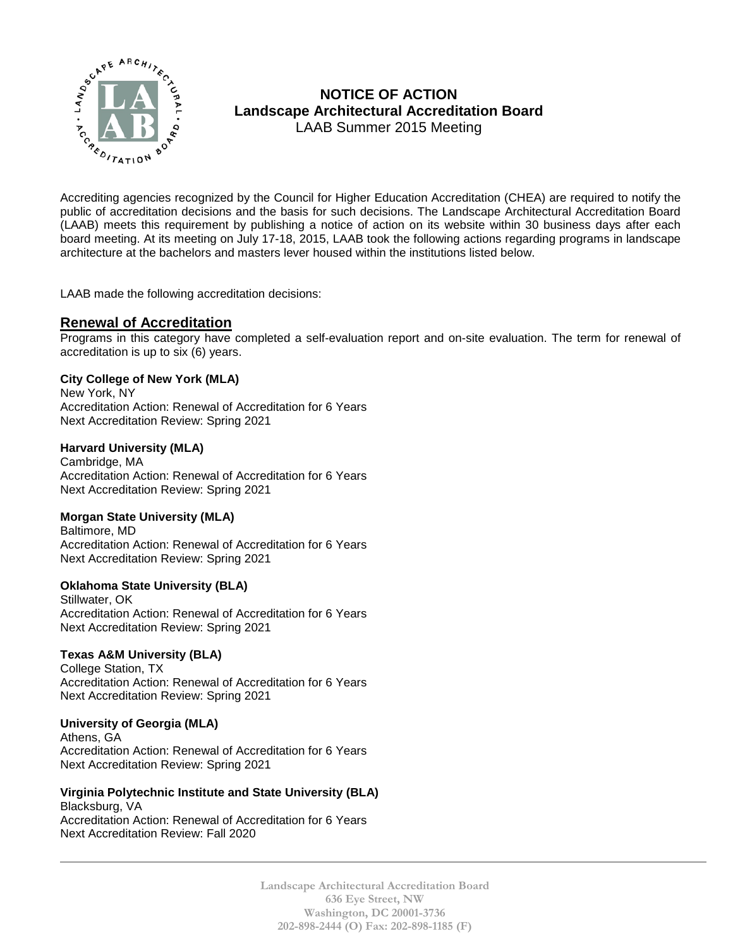

# **NOTICE OF ACTION Landscape Architectural Accreditation Board**  LAAB Summer 2015 Meeting Accrediting agencies recognized by the Council for Higher Education Accreditation (CHEA) are required to notify the

public of accreditation decisions and the basis for such decisions. The Landscape Architectural Accreditation Board (LAAB) meets this requirement by publishing a notice of action on its website within 30 business days after each board meeting. At its meeting on July 17-18, 2015, LAAB took the following actions regarding programs in landscape architecture at the bachelors and masters lever housed within the institutions listed below.

LAAB made the following accreditation decisions:

### **Renewal of Accreditation**

Programs in this category have completed a self-evaluation report and on-site evaluation. The term for renewal of accreditation is up to six (6) years.

#### **City College of New York (MLA)**

New York, NY Accreditation Action: Renewal of Accreditation for 6 Years Next Accreditation Review: Spring 2021

#### **Harvard University (MLA)**

Cambridge, MA Accreditation Action: Renewal of Accreditation for 6 Years Next Accreditation Review: Spring 2021

#### **Morgan State University (MLA)**

Baltimore, MD Accreditation Action: Renewal of Accreditation for 6 Years Next Accreditation Review: Spring 2021

#### **Oklahoma State University (BLA)**

Stillwater, OK Accreditation Action: Renewal of Accreditation for 6 Years Next Accreditation Review: Spring 2021

#### **Texas A&M University (BLA)**

College Station, TX Accreditation Action: Renewal of Accreditation for 6 Years Next Accreditation Review: Spring 2021

#### **University of Georgia (MLA)**

Athens, GA Accreditation Action: Renewal of Accreditation for 6 Years Next Accreditation Review: Spring 2021

#### **Virginia Polytechnic Institute and State University (BLA)** Blacksburg, VA

Accreditation Action: Renewal of Accreditation for 6 Years Next Accreditation Review: Fall 2020

> **Landscape Architectural Accreditation Board 636 Eye Street, NW Washington, DC 20001-3736 202-898-2444 (O) Fax: 202-898-1185 (F)**